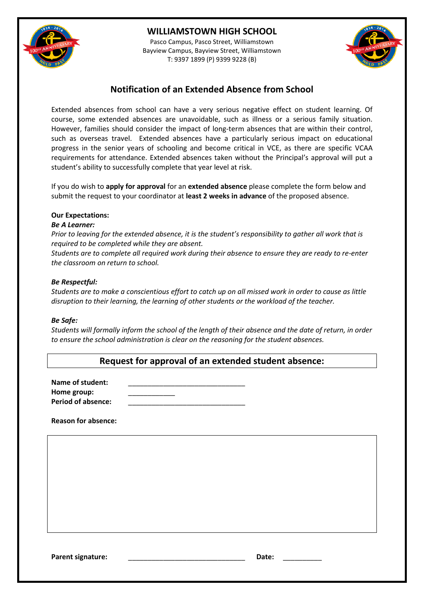

# **WILLIAMSTOWN HIGH SCHOOL**

Pasco Campus, Pasco Street, Williamstown Bayview Campus, Bayview Street, Williamstown T: 9397 1899 (P) 9399 9228 (B)



# **Notification of an Extended Absence from School**

Extended absences from school can have a very serious negative effect on student learning. Of course, some extended absences are unavoidable, such as illness or a serious family situation. However, families should consider the impact of long-term absences that are within their control, such as overseas travel. Extended absences have a particularly serious impact on educational progress in the senior years of schooling and become critical in VCE, as there are specific VCAA requirements for attendance. Extended absences taken without the Principal's approval will put a student's ability to successfully complete that year level at risk.

If you do wish to **apply for approval** for an **extended absence** please complete the form below and submit the request to your coordinator at **least 2 weeks in advance** of the proposed absence.

#### **Our Expectations:**

#### *Be A Learner:*

*Prior to leaving for the extended absence, it is the student's responsibility to gather all work that is required to be completed while they are absent.*

*Students are to complete all required work during their absence to ensure they are ready to re-enter the classroom on return to school.* 

#### *Be Respectful:*

*Students are to make a conscientious effort to catch up on all missed work in order to cause as little disruption to their learning, the learning of other students or the workload of the teacher.*

#### *Be Safe:*

*Students will formally inform the school of the length of their absence and the date of return, in order to ensure the school administration is clear on the reasoning for the student absences.* 

|  |  |  | Request for approval of an extended student absence: |
|--|--|--|------------------------------------------------------|
|--|--|--|------------------------------------------------------|

Name of student: **Home group:** \_\_\_\_\_\_\_\_\_\_\_\_ Period of absence:

**Reason for absence:**

Parent signature: **Example 20 and 20 and 20 and 20 and 20 and 20 and 20 and 20 and 20 and 20 and 20 and 20 and 20 and 20 and 20 and 20 and 20 and 20 and 20 and 20 and 20 and 20 and 20 and 20 and 20 and 20 and 20 and 20 and**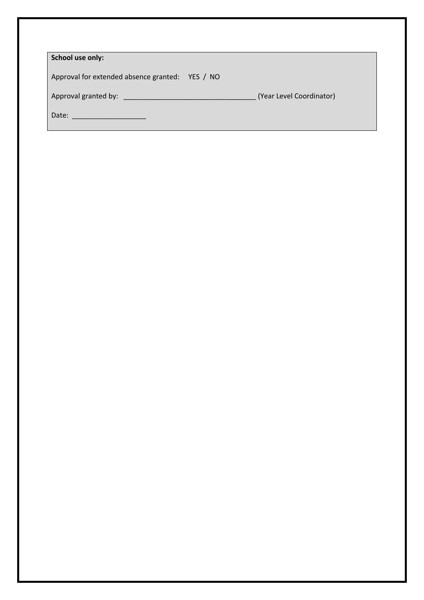| School use only:                                                                                               |  |                          |
|----------------------------------------------------------------------------------------------------------------|--|--------------------------|
| Approval for extended absence granted: YES / NO                                                                |  |                          |
| Approval granted by: Network and Separate and Separate and Separate and Separate and Separate and Separate and |  | (Year Level Coordinator) |
| Date:                                                                                                          |  |                          |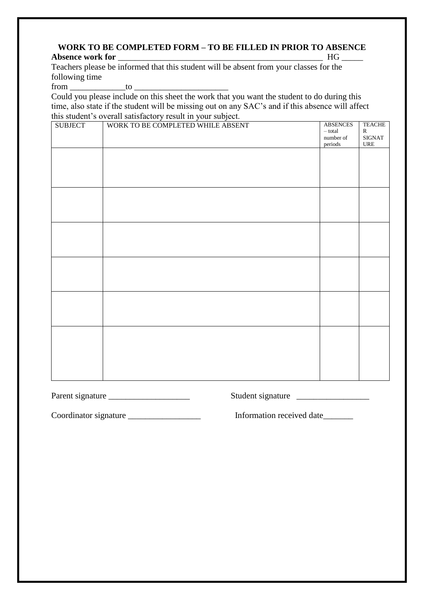### **WORK TO BE COMPLETED FORM – TO BE FILLED IN PRIOR TO ABSENCE Absence work for** \_\_\_\_\_\_\_\_\_\_\_\_\_\_\_\_\_\_\_\_\_\_\_\_\_\_\_\_\_\_\_\_\_\_\_\_\_\_\_\_\_\_\_\_\_\_\_\_ HG \_\_\_\_\_

Teachers please be informed that this student will be absent from your classes for the following time

from to to  $\sim$ 

Could you please include on this sheet the work that you want the student to do during this time, also state if the student will be missing out on any SAC's and if this absence will affect this student's overall satisfactory result in your subject.

| <b>SUBJECT</b> | WORK TO BE COMPLETED WHILE ABSENT | <b>ABSENCES</b><br>$-$ total $\,$<br>number of<br>periods | <b>TEACHE</b><br>${\bf R}$<br>$\rm SIGNAT$<br>$\ensuremath{\mathsf{URE}}$ |
|----------------|-----------------------------------|-----------------------------------------------------------|---------------------------------------------------------------------------|
|                |                                   |                                                           |                                                                           |
|                |                                   |                                                           |                                                                           |
|                |                                   |                                                           |                                                                           |
|                |                                   |                                                           |                                                                           |
|                |                                   |                                                           |                                                                           |
|                |                                   |                                                           |                                                                           |
|                |                                   |                                                           |                                                                           |

Parent signature \_\_\_\_\_\_\_\_\_\_\_\_\_\_\_\_\_\_\_ Student signature \_\_\_\_\_\_\_\_\_\_\_\_\_\_\_\_\_

Coordinator signature \_\_\_\_\_\_\_\_\_\_\_\_\_\_\_\_\_\_\_\_\_\_\_\_\_ Information received date\_\_\_\_\_\_\_